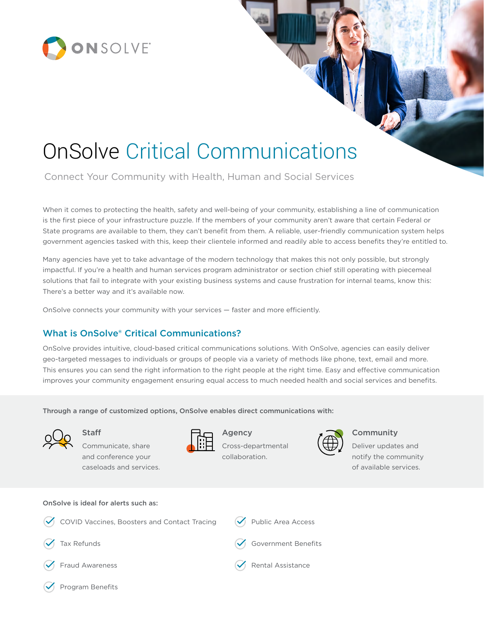

# OnSolve Critical Communications

Connect Your Community with Health, Human and Social Services

When it comes to protecting the health, safety and well-being of your community, establishing a line of communication is the first piece of your infrastructure puzzle. If the members of your community aren't aware that certain Federal or State programs are available to them, they can't benefit from them. A reliable, user-friendly communication system helps government agencies tasked with this, keep their clientele informed and readily able to access benefits they're entitled to.

Many agencies have yet to take advantage of the modern technology that makes this not only possible, but strongly impactful. If you're a health and human services program administrator or section chief still operating with piecemeal solutions that fail to integrate with your existing business systems and cause frustration for internal teams, know this: There's a better way and it's available now.

OnSolve connects your community with your services — faster and more efficiently.

## What is OnSolve® Critical Communications?

OnSolve provides intuitive, cloud-based critical communications solutions. With OnSolve, agencies can easily deliver geo-targeted messages to individuals or groups of people via a variety of methods like phone, text, email and more. This ensures you can send the right information to the right people at the right time. Easy and effective communication improves your community engagement ensuring equal access to much needed health and social services and benefits.

Through a range of customized options, OnSolve enables direct communications with:



Staff Communicate, share

and conference your caseloads and services.



Agency Cross-departmental

collaboration.



#### Community

Deliver updates and notify the community of available services.

#### OnSolve is ideal for alerts such as:

- COVID Vaccines, Boosters and Contact Tracing Tax Refunds Fraud Awareness Public Area Access Government Benefits Rental Assistance
- Program Benefits